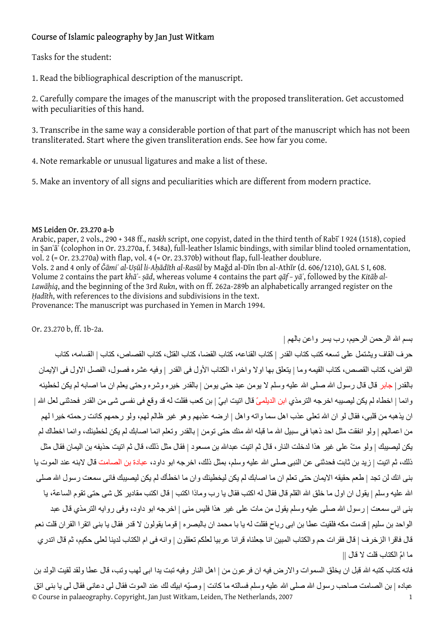## Course of Islamic paleography by Jan Just Witkam

Tasks for the student:

1. Read the bibliographical description of the manuscript.

2. Carefully compare the images of the manuscript with the proposed transliteration. Get accustomed with peculiarities of this hand.

3. Transcribe in the same way a considerable portion of that part of the manuscript which has not been transliterated. Start where the given transliteration ends. See how far you come.

4. Note remarkable or unusual ligatures and make a list of these.

5. Make an inventory of all signs and peculiarities which are different from modern practice.

## MS Leiden Or. 23.270 a-b

Arabic, paper, 2 vols., 290 + 348 ff., *naskh* script, one copyist, dated in the third tenth of Rabīʿ I 924 (1518), copied in Ṣanʿāʾ (colophon in Or. 23.270a, f. 348a), full-leather Islamic bindings, with similar blind tooled ornamentation, vol.  $2$  (= Or. 23.270a) with flap, vol.  $4$  (= Or. 23.370b) without flap, full-leather doublure. Vols. 2 and 4 only of *Ǧāmiʿ al-Uṣūl li-Aḥādīth al-Rasūl* by Maǧd al-Dīn Ibn al-Athīr (d. 606/1210), GAL S I, 608. Volume 2 contains the part *khāʾ- ṣād*, whereas volume 4 contains the part *qāf – yāʾ*, followed by the *Kitāb al-Lawāḥiq*, and the beginning of the 3rd *Rukn*, with on ff. 262a-289b an alphabetically arranged register on the *Ḥadīth*, with references to the divisions and subdivisions in the text.

Provenance: The manuscript was purchased in Yemen in March 1994.

Or. 23.270 b, ff. 1b-2a.

بسم االله الرحمن الرحيم، رب يسر واعن بالهم |

حرف القاف ويشتمل على تسعه كتب كتاب القدر | كتاب القناعه، كتاب القضا، كتاب القتل، كتاب القصاص، كتاب | القسامه، كتاب القراض، كتاب القصص، كتاب القيمه وما | يتعلق بها اولا واخر ا، الكتاب الأول فى القدر | وفيه عشره فصول، الفصل الاول فى الإيمان بالقدر| جابر قال قال رسول االله صلى االله عليه وسلم لا يومن عبد حتى يومن | بالقدر خيره وشره وحتى يعلم ان ما اصابه لم يكن لخطيئه وانما | اخطاه لم يكن ليصيبه اخرجه الترمذي ابن الديلميّ قال اتيت ابيّ | بن كعب فقلت له قد وقع في نفسى شى من القدر فحدثنى لعل الله | ان يذهبه من قلبي، فقال لو ان الله تعلى عذب اهل سما واته واهل | ارضه عذبهم وهو غير ظالم لهم، ولو رحمهم كانت رحمته خيرا لهم من اعمالهم | ولو انفقت مثل احد ذهبا فى سبيل الله ما قبله الله منك حتى تومن | بالقدر وتعلم انما اصابك لم يكن لخطيئك، وانما اخطاك لم يكن ليصيبك | ولو متّ على غير هذا لدخلت النار، قال ثم اتيت عبداالله بن مسعود | فقال مثل ذلك، قال ثم اتيت حذيفه بن اليمان فقال مثل ذلك، ثم اتبت | زيد بن ثابت فحدثنى عن النبي صلى الله عليه وسلم، بمثل ذلك، اخر جه ابو داود، عبادة بن الصامت قال لابنه عند الموت يا بنى انك لن تجد | طعم حقيقه الايمان حتى تعلم ان ما اصابك لم يكن ليخطيئك وان ما اخطأك لم يكن ليصيبك فانى سمعت رسول االله صلى الله عليه وسلم | يقول ان اول ما خلق الله القلم قال فقال له اكتب فقال يا ر ب وماذا اكتب | قال اكتب مقادير "كل شى حتى تقوم الساعة، يا بنى انى سمعت | رسول االله صلى عليه وسلم يقول من مات على غير هذا فليس منى | اخرجه ابو داود، وفى روايه الترمذي قال عبد الواحد بن سليم | قدمت مكه فلقيت عطا بن ابى رباح فقلت له يا با محمد ان بالبصره | قوما يقولون لا قدر فقال يا بنى اتقرا القران قلت نعم قال فاقرا الزخرف | قال فقرات حم والكتاب المبين انا جعلناه قرانا عربيا لعلكم تعقلون | وانه فى ام الكتاب لدينا لعلى حكيم، ثم قال اتدري ما امّ الكتاب قلت لا قال ||

© Course in palaeography. Copyright, Jan Just Witkam, Leiden, The Netherlands, 2007 1 فانه كتاب كتبه الله قبل ان يخلق السموات والارض فيه ان فرعون من | اهل النار وفيه تبت يدا ابى لهب وتب، قال عطا ولقد لقيت الولد بن عباده | بن الصامت صاحب رسول الله صلى الله عليه وسلم فسالته ما كانت | وصيّه ابيك لك عند الموت فقال لى دعانى فقال لى يا بنى اتق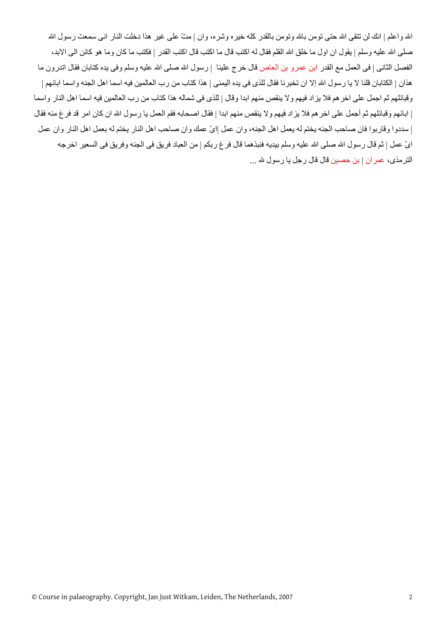الله واعلم | انك لن تتقى الله حتى تومن بالله وتومن بالقدر كله خيره وشره، وان | متّ على غير هذا دخلت النار انى سمعت رسول الله صلى الله عليه وسلم | يقول ان اول ما خلق الله القلم فقال له اكتب قال اكتب قال اكتب القدر | فكتب ما كان وما هو كائن الى الابد، الفصل الثانـي | فـي الـعمل مـع القدر ابن عمرو بن الـعاص قال خرج علينا |رسول الله صلـي الله عليه وسلم وفـي يده كذابان فقال اتدرون ما هذان | الكتابان قلنا لا يا رسول الله إلا ان تخبرنا فقال للذى فى يده اليمنى | هذا كتاب من رب العالمين فيه اسما اهل الجنه واسما ابائهم | وقبائلهم ثم اجمل على اخر هم فلا يزاد فيهم ولا ينقص منهم ابدا وقال | للذى فى شماله هذا كتاب من رب العالمين فيه اسما اهل النار واسما | ابائهم وقبائلهم ثم أجمل على اخر هم فلا يزاد فيهم ولا ينقص منهم ابدا | فقال اصحابه فقم العمل يا رسول الله ان كان امر قد فرغ منه فقال | سددوا وقاربوا فان صاحب الجنه يختم له يعمل اهل الجنه، وان عمل |اىّ عمك وان صاحب اهل النار يختم له بعمل اهل النار وان عمل ايّ عمل | ثم قال رسول الله صلى الله عليه وسلم بيديه فنبذهما قال فرغ ربكم | من العباد فريق فى الجنه وفريق فى السعير اخرجه الترمذى، عمران | بن حصين قال قال رجل يا رسول الله ...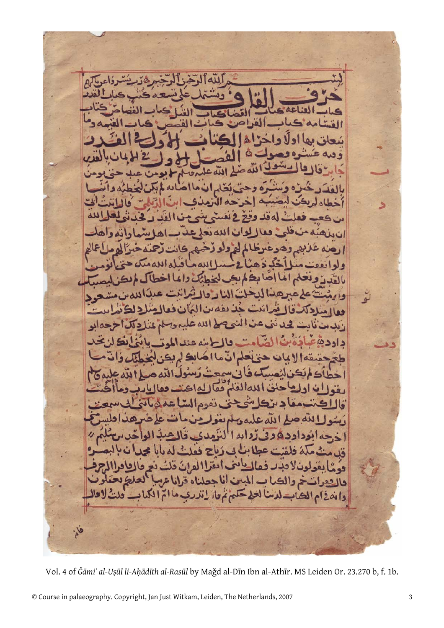حه ال **ف له قد وو** فعا بهم وهوع  $A<sup>d</sup>$  $\Delta$  $N_A$  $\mathbf{s}$ اللهم د ه و لو بعث لخطئك والما بطلم  $161$ النادقا LAD لله الفلم فعالله اله يحنى نفوم الشاع لله د داددودد - قالە  $\epsilon$ دامدا هُ فلفنت عطائل بي رَماح ففلتُ له ماما مح قد ن لادند فعاليات ايغرا الدان ذلت توما ی. والتقوات خم والمصاب المبين أنا جعلناه قراناع العلطة وامدينام المصاب لدسا لحله حكم تم ماريدرب مااتم الكهاب - ولتُ لا قا

Vol. 4 of *Ǧāmiʿ al-Uṣūl li-Aḥādīth al-Rasūl* by Maǧd al-Dīn Ibn al-Athīr. MS Leiden Or. 23.270 b, f. 1b.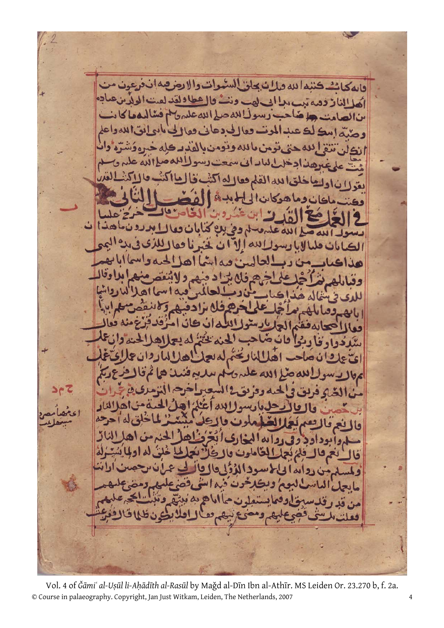كتبدالله فلان بحاظ فالمكان g 711 أهل الناز ذهه نب ه د. watch  $\frac{1}{2}$ سًالو 03 ن اد ه ده 69 85

© Course in palaeography. Copyright, Jan Just Witkam, Leiden, The Netherlands, 2007 4 Vol. 4 of *Ǧāmiʿ al-Uṣūl li-Aḥādīth al-Rasūl* by Maǧd al-Dīn Ibn al-Athīr. MS Leiden Or. 23.270 b, f. 2a.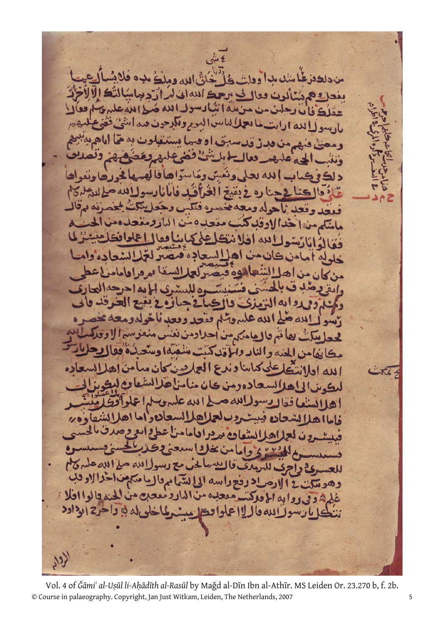.. les  $4.11$ Way SPNC بفعلة هرسالون الله ساليورويلرجو السولالله ومعنى فنه  $443$  $\bullet$ فيغد وقعد ناحوله وم ۔ نه مہال  $\blacktriangleright$   $\blacktriangle$ 9 ەمن dN اده الماحرحةالحا  $4.5...1$ وه ويعبع الع اكبائے الله عليهوتلم فقحد وقعد ناخوله ومعه ء الله أيسوإ . بهانم بالهامكرمن احلاومن نغس ما بفامن المندوالناد والمأقد كنت منفتدا و مطا كبابنا وندع العاربين كا ا لله او بادەدەن كان منامز للكوس الياه اهلانسننا  $\overline{L}$  $tsalcal$ ANI ق لحلاها السعادون  $U$ فامااه برد ادامامزاعط اه ise of class  $L_1 \star \star \star \star 2$ سرئ واجرف للرمدف  $140$  $\omega$  $1120, 11$ للعد إدرفع راسه الى تشمام والعاملهم وهوسكت 12 غلم ه وي روابه المعاركت مععده من المارد مععده من المنه بالوااحلا لى له في واحرج الوداود لااعلوا تدال

© Course in palaeography. Copyright, Jan Just Witkam, Leiden, The Netherlands, 2007 5 Vol. 4 of *Ǧāmiʿ al-Uṣūl li-Aḥādīth al-Rasūl* by Maǧd al-Dīn Ibn al-Athīr. MS Leiden Or. 23.270 b, f. 2b.